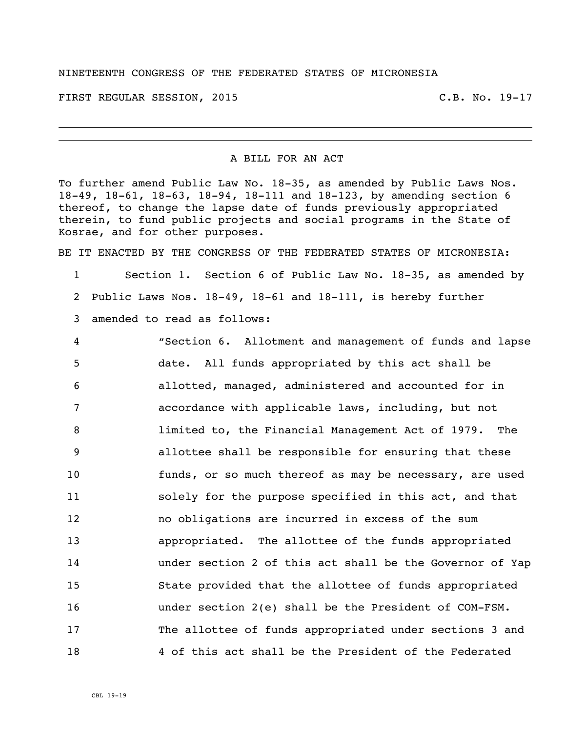## NINETEENTH CONGRESS OF THE FEDERATED STATES OF MICRONESIA

FIRST REGULAR SESSION, 2015 C.B. No. 19-17

## A BILL FOR AN ACT

To further amend Public Law No. 18-35, as amended by Public Laws Nos. 18-49, 18-61, 18-63, 18-94, 18-111 and 18-123, by amending section 6 thereof, to change the lapse date of funds previously appropriated therein, to fund public projects and social programs in the State of Kosrae, and for other purposes.

BE IT ENACTED BY THE CONGRESS OF THE FEDERATED STATES OF MICRONESIA:

 Section 1. Section 6 of Public Law No. 18-35, as amended by Public Laws Nos. 18-49, 18-61 and 18-111, is hereby further amended to read as follows:

 "Section 6. Allotment and management of funds and lapse date. All funds appropriated by this act shall be allotted, managed, administered and accounted for in accordance with applicable laws, including, but not limited to, the Financial Management Act of 1979. The allottee shall be responsible for ensuring that these funds, or so much thereof as may be necessary, are used solely for the purpose specified in this act, and that no obligations are incurred in excess of the sum appropriated. The allottee of the funds appropriated under section 2 of this act shall be the Governor of Yap State provided that the allottee of funds appropriated under section 2(e) shall be the President of COM-FSM. The allottee of funds appropriated under sections 3 and 4 of this act shall be the President of the Federated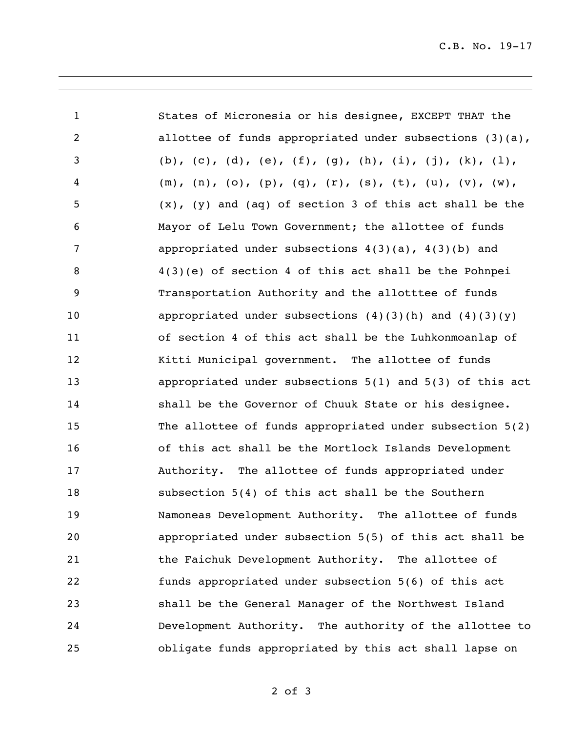| $\mathbf{1}$   | States of Micronesia or his designee, EXCEPT THAT the          |
|----------------|----------------------------------------------------------------|
| $\overline{c}$ | allottee of funds appropriated under subsections $(3)(a)$ ,    |
| 3              | (b), (c), (d), (e), (f), (g), (h), (i), (j), (k), (l),         |
| $\overline{4}$ | $(m), (n), (o), (p), (q), (r), (s), (t), (u), (v), (w),$       |
| 5              | $(x)$ , $(y)$ and $(aq)$ of section 3 of this act shall be the |
| 6              | Mayor of Lelu Town Government; the allottee of funds           |
| 7              | appropriated under subsections $4(3)(a)$ , $4(3)(b)$ and       |
| 8              | $4(3)(e)$ of section 4 of this act shall be the Pohnpei        |
| 9              | Transportation Authority and the allotttee of funds            |
| 10             | appropriated under subsections $(4)(3)(h)$ and $(4)(3)(y)$     |
| 11             | of section 4 of this act shall be the Luhkonmoanlap of         |
| 12             | Kitti Municipal government. The allottee of funds              |
| 13             | appropriated under subsections 5(1) and 5(3) of this act       |
| 14             | shall be the Governor of Chuuk State or his designee.          |
| 15             | The allottee of funds appropriated under subsection 5(2)       |
| 16             | of this act shall be the Mortlock Islands Development          |
| 17             | Authority. The allottee of funds appropriated under            |
| 18             | subsection 5(4) of this act shall be the Southern              |
| 19             | Namoneas Development Authority. The allottee of funds          |
| 20             | appropriated under subsection 5(5) of this act shall be        |
| 21             | the Faichuk Development Authority. The allottee of             |
| 22             | funds appropriated under subsection 5(6) of this act           |
| 23             | shall be the General Manager of the Northwest Island           |
| 24             | Development Authority. The authority of the allottee to        |
| 25             | obligate funds appropriated by this act shall lapse on         |